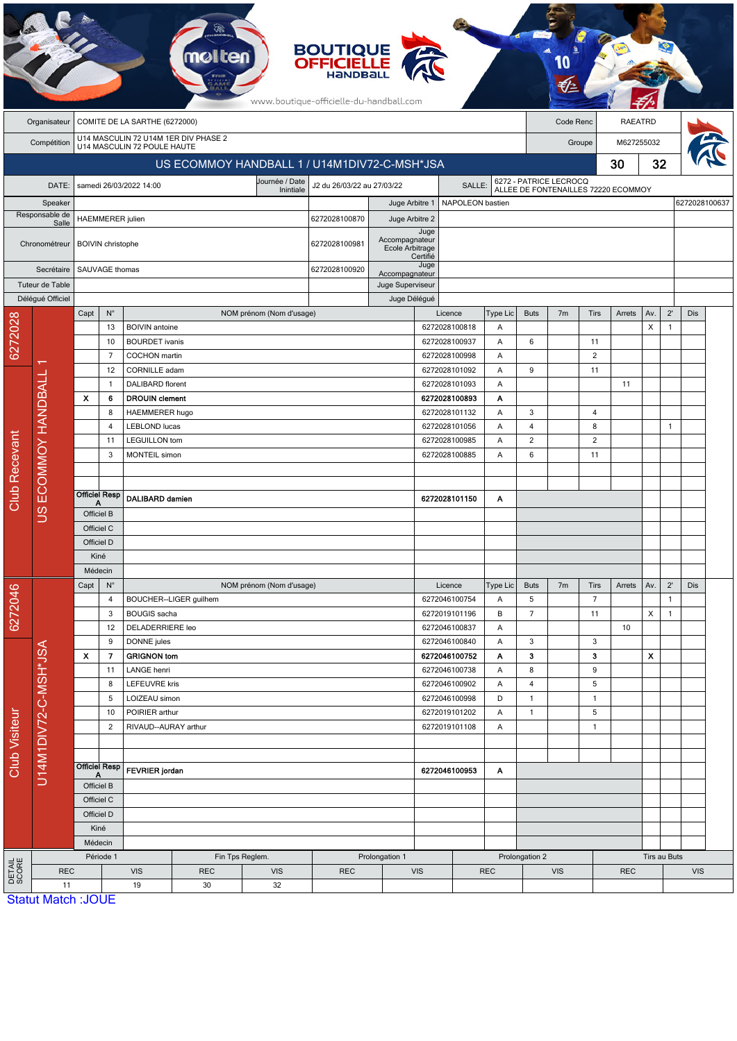|                                  |                                              |                                            |                          |                                                | <b>molten</b>                        |                               | <b>BOUTIQUE<br/>OFFICIELLE</b><br>www.boutique-officielle-du-handball.com |                                    |                    |                                |                 |                                                               |                |                   |              |            |               |            |  |
|----------------------------------|----------------------------------------------|--------------------------------------------|--------------------------|------------------------------------------------|--------------------------------------|-------------------------------|---------------------------------------------------------------------------|------------------------------------|--------------------|--------------------------------|-----------------|---------------------------------------------------------------|----------------|-------------------|--------------|------------|---------------|------------|--|
|                                  | Organisateur                                 | COMITE DE LA SARTHE (6272000)<br>Code Renc |                          |                                                |                                      |                               |                                                                           |                                    |                    |                                |                 |                                                               | <b>RAEATRD</b> |                   |              |            |               |            |  |
|                                  | Compétition                                  |                                            |                          | U14 MASCULIN 72 POULE HAUTE                    | U14 MASCULIN 72 U14M 1ER DIV PHASE 2 |                               |                                                                           |                                    |                    |                                |                 |                                                               | Groupe         |                   |              | M627255032 |               |            |  |
|                                  | US ECOMMOY HANDBALL 1 / U14M1DIV72-C-MSH*JSA |                                            |                          |                                                |                                      |                               |                                                                           |                                    |                    |                                |                 | 30                                                            |                |                   |              | 32         |               |            |  |
| samedi 26/03/2022 14:00<br>DATE: |                                              |                                            |                          |                                                |                                      | Journée / Date                | J2 du 26/03/22 au 27/03/22                                                | SALLE:                             |                    |                                |                 |                                                               |                |                   |              |            |               |            |  |
|                                  | Speaker                                      |                                            |                          |                                                |                                      | Inintiale                     |                                                                           | Juge Arbitre 1<br>NAPOLEON bastien |                    |                                |                 | 6272 - PATRICE LECROCQ<br>ALLEE DE FONTENAILLES 72220 ECOMMOY |                |                   |              |            | 6272028100637 |            |  |
|                                  | Responsable de<br>Salle                      |                                            | <b>HAEMMERER</b> julien  |                                                |                                      |                               | 6272028100870                                                             | Juge Arbitre 2                     |                    |                                |                 |                                                               |                |                   |              |            |               |            |  |
|                                  |                                              |                                            |                          |                                                |                                      |                               |                                                                           | Accompagnateur                     | Juge               |                                |                 |                                                               |                |                   |              |            |               |            |  |
|                                  | Chronométreur                                |                                            | <b>BOIVIN</b> christophe |                                                |                                      | 6272028100981                 | Ecole Arbitrage                                                           | Certifié                           |                    |                                |                 |                                                               |                |                   |              |            |               |            |  |
|                                  | Secrétaire                                   |                                            | SAUVAGE thomas           |                                                |                                      |                               |                                                                           | Accompagnateur                     | Juge               |                                |                 |                                                               |                |                   |              |            |               |            |  |
|                                  | Tuteur de Table                              |                                            |                          |                                                |                                      |                               |                                                                           | Juge Superviseur                   |                    |                                |                 |                                                               |                |                   |              |            |               |            |  |
|                                  | Délégué Officiel                             |                                            |                          |                                                | Juge Délégué                         |                               |                                                                           |                                    |                    |                                |                 |                                                               |                |                   |              |            |               |            |  |
|                                  |                                              | Capt                                       | $\mathsf{N}^\circ$       |                                                |                                      | NOM prénom (Nom d'usage)      |                                                                           |                                    |                    | Licence                        | <b>Type Lic</b> | <b>Buts</b><br>6                                              | 7 <sub>m</sub> | <b>Tirs</b><br>11 | Arrets       | Av.        | $2^{\prime}$  | Dis        |  |
| 6272028                          |                                              |                                            | 13<br>10                 | <b>BOIVIN</b> antoine<br><b>BOURDET</b> ivanis |                                      |                               |                                                                           |                                    |                    | 6272028100818<br>6272028100937 | Α<br>Α          |                                                               |                |                   |              | X          | $\mathbf{1}$  |            |  |
|                                  |                                              |                                            | $\overline{7}$           | COCHON martin                                  |                                      |                               |                                                                           |                                    | 6272028100998      |                                | Α               |                                                               |                | $\overline{2}$    |              |            |               |            |  |
|                                  |                                              |                                            | 12                       | CORNILLE adam                                  |                                      |                               |                                                                           |                                    |                    | 6272028101092                  | Α               | 9                                                             |                | 11                |              |            |               |            |  |
|                                  |                                              |                                            | 1                        | <b>DALIBARD</b> florent                        |                                      |                               | 6272028101093                                                             |                                    | A                  |                                |                 |                                                               | 11             |                   |              |            |               |            |  |
|                                  |                                              | $\boldsymbol{\mathsf{x}}$                  | 6                        | <b>DROUIN</b> clement                          |                                      |                               |                                                                           |                                    |                    | 6272028100893                  | Α               |                                                               |                |                   |              |            |               |            |  |
|                                  | US ECOMMOY HANDBALL                          |                                            | 8                        | <b>HAEMMERER hugo</b>                          |                                      |                               |                                                                           |                                    |                    | 6272028101132                  | A               | 3                                                             |                | 4                 |              |            |               |            |  |
|                                  |                                              |                                            | 4                        | <b>LEBLOND lucas</b>                           |                                      |                               |                                                                           |                                    | 6272028101056<br>Α |                                |                 | $\overline{4}$                                                |                | 8                 |              |            | $\mathbf{1}$  |            |  |
|                                  |                                              |                                            | 11                       | <b>LEGUILLON</b> tom                           |                                      |                               |                                                                           |                                    |                    | 6272028100985<br>A             |                 | $\overline{2}$                                                |                | $\overline{c}$    |              |            |               |            |  |
|                                  |                                              |                                            | 3                        | <b>MONTEIL</b> simon                           |                                      |                               |                                                                           |                                    |                    | 6272028100885                  | A               | 6                                                             |                | 11                |              |            |               |            |  |
|                                  |                                              |                                            |                          |                                                |                                      |                               |                                                                           |                                    |                    |                                |                 |                                                               |                |                   |              |            |               |            |  |
| Club Recevant                    |                                              |                                            | <b>Officiel Resp</b>     |                                                |                                      |                               |                                                                           |                                    |                    |                                |                 |                                                               |                |                   |              |            |               |            |  |
|                                  |                                              | Officiel B                                 |                          | DALIBARD damien                                |                                      |                               |                                                                           | 6272028101150                      |                    |                                | Α               |                                                               |                |                   |              |            |               |            |  |
|                                  |                                              | Officiel C                                 |                          |                                                |                                      |                               |                                                                           |                                    |                    |                                |                 |                                                               |                |                   |              |            |               |            |  |
|                                  |                                              | Officiel D                                 |                          |                                                |                                      |                               |                                                                           |                                    |                    |                                |                 |                                                               |                |                   |              |            |               |            |  |
|                                  |                                              | Kiné                                       |                          |                                                |                                      |                               |                                                                           |                                    |                    |                                |                 |                                                               |                |                   |              |            |               |            |  |
|                                  |                                              | Médecin                                    |                          |                                                |                                      |                               |                                                                           |                                    |                    |                                |                 |                                                               |                |                   |              |            |               |            |  |
|                                  |                                              | $N^{\circ}$<br>Capt                        |                          |                                                | NOM prénom (Nom d'usage)             |                               |                                                                           |                                    |                    | Licence                        | Type Lic        | <b>Buts</b>                                                   | 7m             | Tirs              | Arrets       | Av.        | $2^{\prime}$  | <b>Dis</b> |  |
| 6272046                          |                                              |                                            | 4                        |                                                | BOUCHER--LIGER guilhem               |                               |                                                                           |                                    |                    | 6272046100754                  | Α               | $5\phantom{.0}$                                               |                | $\overline{7}$    |              |            | $\mathbf{1}$  |            |  |
|                                  |                                              |                                            | 3                        |                                                | <b>BOUGIS</b> sacha                  |                               |                                                                           |                                    | 6272019101196      |                                | В               | $\overline{7}$                                                |                | 11                |              | X          | $\mathbf{1}$  |            |  |
|                                  |                                              |                                            | 12                       | DELADERRIERE leo                               |                                      |                               |                                                                           |                                    |                    | 6272046100837                  | Α               |                                                               |                |                   | 10           |            |               |            |  |
|                                  |                                              |                                            | 9                        | DONNE jules                                    |                                      |                               |                                                                           |                                    |                    | 6272046100840                  | Α               | 3                                                             |                | 3                 |              |            |               |            |  |
|                                  |                                              | X                                          | 7<br><b>GRIGNON tom</b>  |                                                |                                      |                               |                                                                           |                                    | 6272046100752      | Α                              | 3               |                                                               | з              |                   | X            |            |               |            |  |
|                                  |                                              |                                            | 11<br>8                  | LANGE henri<br><b>LEFEUVRE kris</b>            |                                      |                               |                                                                           |                                    |                    | 6272046100738<br>6272046100902 | Α<br>Α          | $\bf 8$<br>$\overline{4}$                                     |                | 9<br>5            |              |            |               |            |  |
|                                  |                                              |                                            | 5                        |                                                |                                      |                               |                                                                           |                                    |                    | 6272046100998                  | D               | $\mathbf{1}$                                                  |                | $\mathbf{1}$      |              |            |               |            |  |
|                                  |                                              |                                            | 10                       | LOIZEAU simon<br>POIRIER arthur                |                                      |                               |                                                                           |                                    | 6272019101202      |                                | Α               | $\mathbf{1}$                                                  |                | 5                 |              |            |               |            |  |
|                                  |                                              | $\overline{2}$                             |                          |                                                | RIVAUD--AURAY arthur                 |                               |                                                                           |                                    | 6272019101108<br>Α |                                |                 |                                                               |                | $\mathbf{1}$      |              |            |               |            |  |
| <b>Club Visiteur</b>             | U14M1DIV72-C-MSH*JSA                         |                                            |                          |                                                |                                      |                               |                                                                           |                                    |                    |                                |                 |                                                               |                |                   |              |            |               |            |  |
|                                  |                                              |                                            | <b>Officiel Resp</b>     |                                                |                                      |                               |                                                                           |                                    |                    |                                |                 |                                                               |                |                   |              |            |               |            |  |
|                                  |                                              |                                            | Α                        | FEVRIER jordan                                 |                                      |                               |                                                                           |                                    | 6272046100953<br>Α |                                |                 |                                                               |                |                   |              |            |               |            |  |
|                                  |                                              |                                            | Officiel B               |                                                |                                      |                               |                                                                           |                                    |                    |                                |                 |                                                               |                |                   |              |            |               |            |  |
|                                  |                                              |                                            | Officiel C               |                                                |                                      |                               |                                                                           |                                    |                    |                                |                 |                                                               |                |                   |              |            |               |            |  |
|                                  |                                              |                                            | Officiel D<br>Kiné       |                                                |                                      |                               |                                                                           |                                    |                    |                                |                 |                                                               |                |                   |              |            |               |            |  |
|                                  |                                              |                                            | Médecin                  |                                                |                                      |                               |                                                                           |                                    |                    |                                |                 |                                                               |                |                   |              |            |               |            |  |
|                                  |                                              |                                            | Période 1                |                                                |                                      | Prolongation 1                |                                                                           |                                    |                    | Prolongation 2                 |                 |                                                               |                |                   | Tirs au Buts |            |               |            |  |
| DETAIL<br>SCORE                  | <b>REC</b>                                   |                                            |                          | <b>VIS</b>                                     | <b>REC</b>                           | Fin Tps Reglem.<br><b>VIS</b> | <b>REC</b>                                                                | <b>VIS</b>                         |                    |                                | <b>REC</b>      | <b>VIS</b>                                                    |                |                   | <b>REC</b>   |            |               | <b>VIS</b> |  |
|                                  | 11                                           |                                            |                          | 19                                             | 30                                   | 32                            |                                                                           |                                    |                    |                                |                 |                                                               |                |                   |              |            |               |            |  |
|                                  | <b>Statut Match: JOUE</b>                    |                                            |                          |                                                |                                      |                               |                                                                           |                                    |                    |                                |                 |                                                               |                |                   |              |            |               |            |  |

**CA**